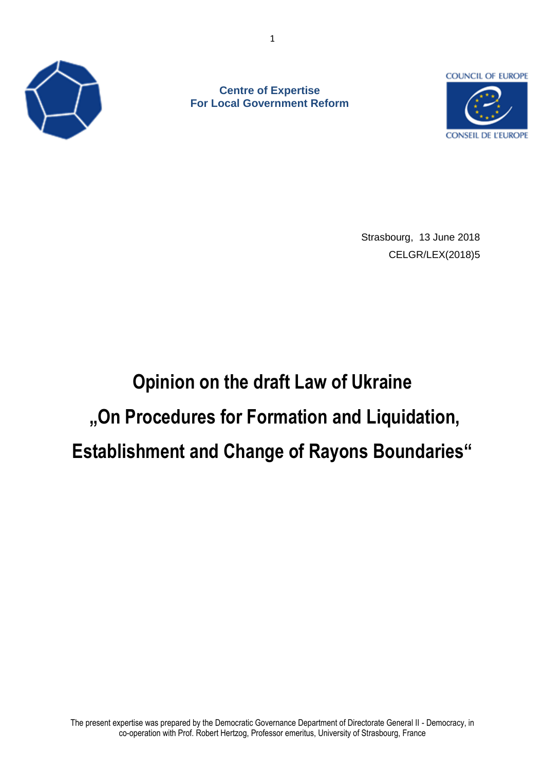

**Centre of Expertise For Local Government Reform** 



Strasbourg, 13 June 2018 CELGR/LEX(2018)5

# **Opinion on the draft Law of Ukraine "On Procedures for Formation and Liquidation, Establishment and Change of Rayons Boundaries"**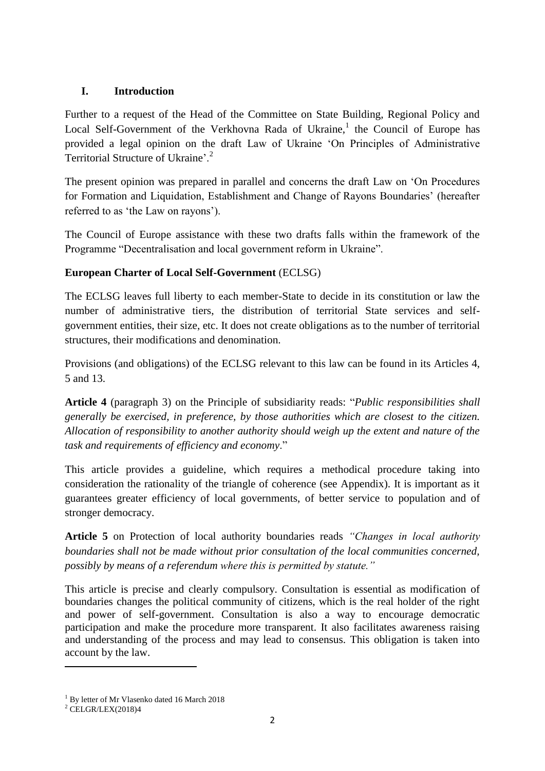#### **I. Introduction**

Further to a request of the Head of the Committee on State Building, Regional Policy and Local Self-Government of the Verkhovna Rada of Ukraine,<sup>1</sup> the Council of Europe has provided a legal opinion on the draft Law of Ukraine 'On Principles of Administrative Territorial Structure of Ukraine<sup>, 2</sup>

The present opinion was prepared in parallel and concerns the draft Law on 'On Procedures for Formation and Liquidation, Establishment and Change of Rayons Boundaries' (hereafter referred to as 'the Law on rayons').

The Council of Europe assistance with these two drafts falls within the framework of the Programme "Decentralisation and local government reform in Ukraine".

## **European Charter of Local Self-Government** (ECLSG)

The ECLSG leaves full liberty to each member-State to decide in its constitution or law the number of administrative tiers, the distribution of territorial State services and selfgovernment entities, their size, etc. It does not create obligations as to the number of territorial structures, their modifications and denomination.

Provisions (and obligations) of the ECLSG relevant to this law can be found in its Articles 4, 5 and 13.

**Article 4** (paragraph 3) on the Principle of subsidiarity reads: "*Public responsibilities shall generally be exercised, in preference, by those authorities which are closest to the citizen. Allocation of responsibility to another authority should weigh up the extent and nature of the task and requirements of efficiency and economy*."

This article provides a guideline, which requires a methodical procedure taking into consideration the rationality of the triangle of coherence (see Appendix). It is important as it guarantees greater efficiency of local governments, of better service to population and of stronger democracy.

**Article 5** on Protection of local authority boundaries reads *"Changes in local authority boundaries shall not be made without prior consultation of the local communities concerned, possibly by means of a referendum where this is permitted by statute."*

This article is precise and clearly compulsory. Consultation is essential as modification of boundaries changes the political community of citizens, which is the real holder of the right and power of self-government. Consultation is also a way to encourage democratic participation and make the procedure more transparent. It also facilitates awareness raising and understanding of the process and may lead to consensus. This obligation is taken into account by the law.

 $\overline{\phantom{a}}$ 

<sup>&</sup>lt;sup>1</sup> By letter of Mr Vlasenko dated 16 March 2018

 $2$  CELGR/LEX(2018)4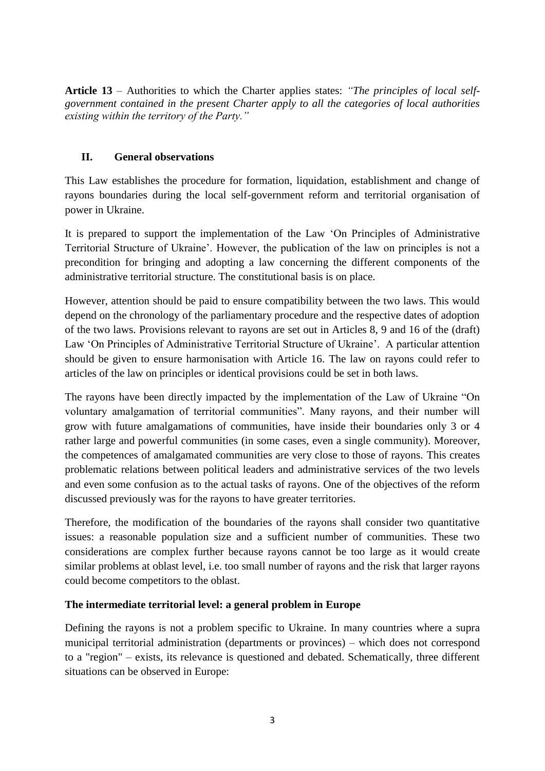**Article 13** – Authorities to which the Charter applies states: *"The principles of local selfgovernment contained in the present Charter apply to all the categories of local authorities existing within the territory of the Party."* 

### **II. General observations**

This Law establishes the procedure for formation, liquidation, establishment and change of rayons boundaries during the local self-government reform and territorial organisation of power in Ukraine.

It is prepared to support the implementation of the Law 'On Principles of Administrative Territorial Structure of Ukraine'. However, the publication of the law on principles is not a precondition for bringing and adopting a law concerning the different components of the administrative territorial structure. The constitutional basis is on place.

However, attention should be paid to ensure compatibility between the two laws. This would depend on the chronology of the parliamentary procedure and the respective dates of adoption of the two laws. Provisions relevant to rayons are set out in Articles 8, 9 and 16 of the (draft) Law 'On Principles of Administrative Territorial Structure of Ukraine'. A particular attention should be given to ensure harmonisation with Article 16. The law on rayons could refer to articles of the law on principles or identical provisions could be set in both laws.

The rayons have been directly impacted by the implementation of the Law of Ukraine "On voluntary amalgamation of territorial communities". Many rayons, and their number will grow with future amalgamations of communities, have inside their boundaries only 3 or 4 rather large and powerful communities (in some cases, even a single community). Moreover, the competences of amalgamated communities are very close to those of rayons. This creates problematic relations between political leaders and administrative services of the two levels and even some confusion as to the actual tasks of rayons. One of the objectives of the reform discussed previously was for the rayons to have greater territories.

Therefore, the modification of the boundaries of the rayons shall consider two quantitative issues: a reasonable population size and a sufficient number of communities. These two considerations are complex further because rayons cannot be too large as it would create similar problems at oblast level, i.e. too small number of rayons and the risk that larger rayons could become competitors to the oblast.

#### **The intermediate territorial level: a general problem in Europe**

Defining the rayons is not a problem specific to Ukraine. In many countries where a supra municipal territorial administration (departments or provinces) – which does not correspond to a "region" – exists, its relevance is questioned and debated. Schematically, three different situations can be observed in Europe: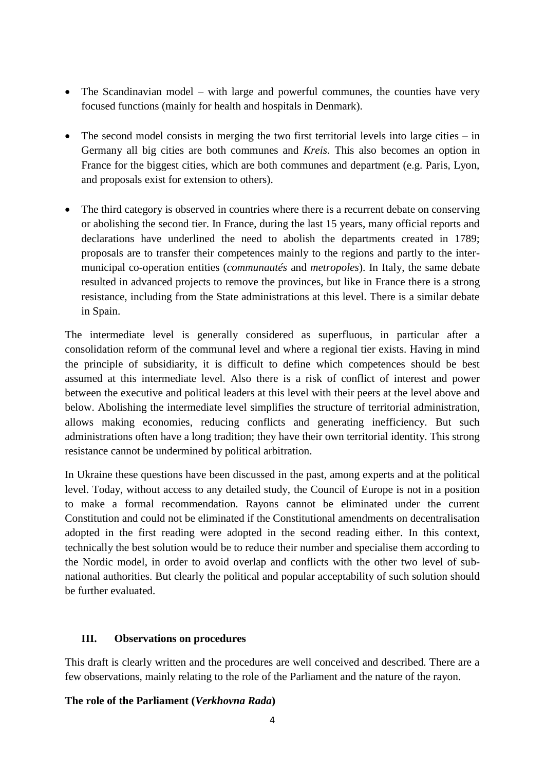- The Scandinavian model with large and powerful communes, the counties have very focused functions (mainly for health and hospitals in Denmark).
- The second model consists in merging the two first territorial levels into large cities in Germany all big cities are both communes and *Kreis*. This also becomes an option in France for the biggest cities, which are both communes and department (e.g. Paris, Lyon, and proposals exist for extension to others).
- The third category is observed in countries where there is a recurrent debate on conserving or abolishing the second tier. In France, during the last 15 years, many official reports and declarations have underlined the need to abolish the departments created in 1789; proposals are to transfer their competences mainly to the regions and partly to the intermunicipal co-operation entities (*communautés* and *metropoles*). In Italy, the same debate resulted in advanced projects to remove the provinces, but like in France there is a strong resistance, including from the State administrations at this level. There is a similar debate in Spain.

The intermediate level is generally considered as superfluous, in particular after a consolidation reform of the communal level and where a regional tier exists. Having in mind the principle of subsidiarity, it is difficult to define which competences should be best assumed at this intermediate level. Also there is a risk of conflict of interest and power between the executive and political leaders at this level with their peers at the level above and below. Abolishing the intermediate level simplifies the structure of territorial administration, allows making economies, reducing conflicts and generating inefficiency. But such administrations often have a long tradition; they have their own territorial identity. This strong resistance cannot be undermined by political arbitration.

In Ukraine these questions have been discussed in the past, among experts and at the political level. Today, without access to any detailed study, the Council of Europe is not in a position to make a formal recommendation. Rayons cannot be eliminated under the current Constitution and could not be eliminated if the Constitutional amendments on decentralisation adopted in the first reading were adopted in the second reading either. In this context, technically the best solution would be to reduce their number and specialise them according to the Nordic model, in order to avoid overlap and conflicts with the other two level of subnational authorities. But clearly the political and popular acceptability of such solution should be further evaluated.

#### **III. Observations on procedures**

This draft is clearly written and the procedures are well conceived and described. There are a few observations, mainly relating to the role of the Parliament and the nature of the rayon.

#### **The role of the Parliament (***Verkhovna Rada***)**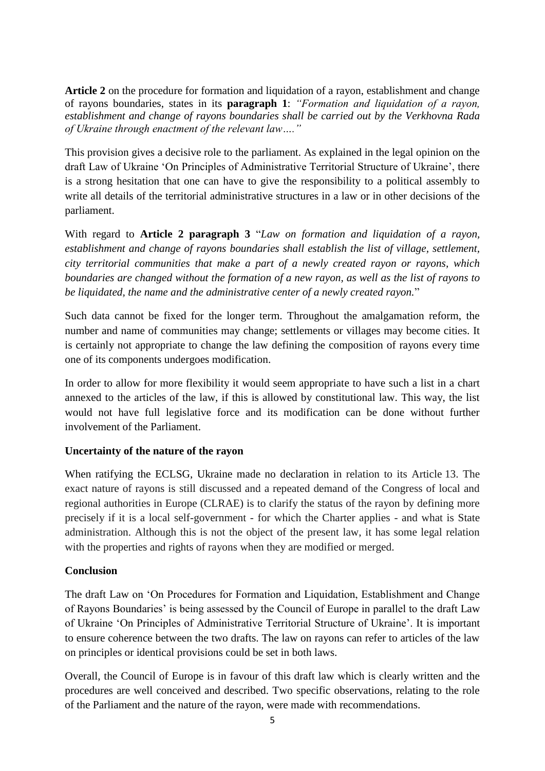**Article 2** on the procedure for formation and liquidation of a rayon, establishment and change of rayons boundaries, states in its **paragraph 1**: *"Formation and liquidation of a rayon, establishment and change of rayons boundaries shall be carried out by the Verkhovna Rada of Ukraine through enactment of the relevant law…."*

This provision gives a decisive role to the parliament. As explained in the legal opinion on the draft Law of Ukraine 'On Principles of Administrative Territorial Structure of Ukraine', there is a strong hesitation that one can have to give the responsibility to a political assembly to write all details of the territorial administrative structures in a law or in other decisions of the parliament.

With regard to **Article 2 paragraph 3** "*Law on formation and liquidation of a rayon, establishment and change of rayons boundaries shall establish the list of village, settlement, city territorial communities that make a part of a newly created rayon or rayons, which boundaries are changed without the formation of a new rayon, as well as the list of rayons to be liquidated, the name and the administrative center of a newly created rayon.*"

Such data cannot be fixed for the longer term. Throughout the amalgamation reform, the number and name of communities may change; settlements or villages may become cities. It is certainly not appropriate to change the law defining the composition of rayons every time one of its components undergoes modification.

In order to allow for more flexibility it would seem appropriate to have such a list in a chart annexed to the articles of the law, if this is allowed by constitutional law. This way, the list would not have full legislative force and its modification can be done without further involvement of the Parliament.

#### **Uncertainty of the nature of the rayon**

When ratifying the ECLSG, Ukraine made no declaration in relation to its Article 13. The exact nature of rayons is still discussed and a repeated demand of the Congress of local and regional authorities in Europe (CLRAE) is to clarify the status of the rayon by defining more precisely if it is a local self-government - for which the Charter applies - and what is State administration. Although this is not the object of the present law, it has some legal relation with the properties and rights of rayons when they are modified or merged.

#### **Conclusion**

The draft Law on 'On Procedures for Formation and Liquidation, Establishment and Change of Rayons Boundaries' is being assessed by the Council of Europe in parallel to the draft Law of Ukraine 'On Principles of Administrative Territorial Structure of Ukraine'. It is important to ensure coherence between the two drafts. The law on rayons can refer to articles of the law on principles or identical provisions could be set in both laws.

Overall, the Council of Europe is in favour of this draft law which is clearly written and the procedures are well conceived and described. Two specific observations, relating to the role of the Parliament and the nature of the rayon, were made with recommendations.